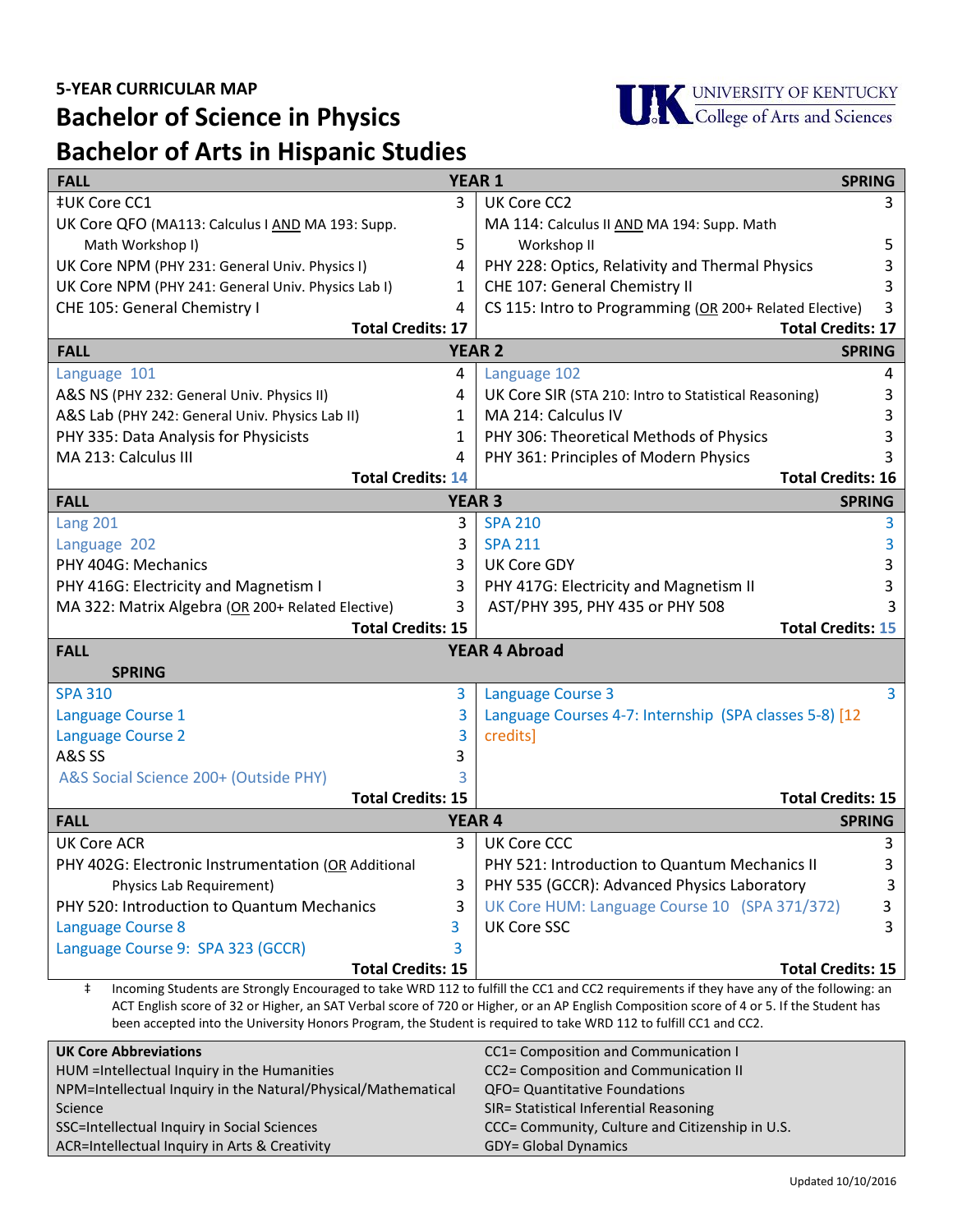

## **Bachelor of Science in Physics Bachelor of Arts in Hispanic Studies**

| 3                                                                                                                                                                                                                                                  |  |  |
|----------------------------------------------------------------------------------------------------------------------------------------------------------------------------------------------------------------------------------------------------|--|--|
|                                                                                                                                                                                                                                                    |  |  |
|                                                                                                                                                                                                                                                    |  |  |
| 5                                                                                                                                                                                                                                                  |  |  |
| 3                                                                                                                                                                                                                                                  |  |  |
|                                                                                                                                                                                                                                                    |  |  |
| CS 115: Intro to Programming (OR 200+ Related Elective)<br>3                                                                                                                                                                                       |  |  |
| <b>Total Credits: 17</b><br><b>Total Credits: 17</b>                                                                                                                                                                                               |  |  |
| <b>SPRING</b>                                                                                                                                                                                                                                      |  |  |
| 4                                                                                                                                                                                                                                                  |  |  |
| 3                                                                                                                                                                                                                                                  |  |  |
| 3                                                                                                                                                                                                                                                  |  |  |
|                                                                                                                                                                                                                                                    |  |  |
|                                                                                                                                                                                                                                                    |  |  |
| <b>Total Credits: 16</b>                                                                                                                                                                                                                           |  |  |
| <b>SPRING</b>                                                                                                                                                                                                                                      |  |  |
| 3                                                                                                                                                                                                                                                  |  |  |
| 3                                                                                                                                                                                                                                                  |  |  |
| 3                                                                                                                                                                                                                                                  |  |  |
|                                                                                                                                                                                                                                                    |  |  |
|                                                                                                                                                                                                                                                    |  |  |
| <b>Total Credits: 15</b>                                                                                                                                                                                                                           |  |  |
| <b>YEAR 4 Abroad</b><br><b>FALL</b>                                                                                                                                                                                                                |  |  |
| <b>SPRING</b><br>3<br><b>SPA 310</b><br><b>Language Course 3</b>                                                                                                                                                                                   |  |  |
| $\overline{3}$                                                                                                                                                                                                                                     |  |  |
|                                                                                                                                                                                                                                                    |  |  |
|                                                                                                                                                                                                                                                    |  |  |
|                                                                                                                                                                                                                                                    |  |  |
|                                                                                                                                                                                                                                                    |  |  |
| <b>Total Credits: 15</b>                                                                                                                                                                                                                           |  |  |
| <b>SPRING</b>                                                                                                                                                                                                                                      |  |  |
| 3                                                                                                                                                                                                                                                  |  |  |
| 3                                                                                                                                                                                                                                                  |  |  |
| 3                                                                                                                                                                                                                                                  |  |  |
| 3                                                                                                                                                                                                                                                  |  |  |
| 3                                                                                                                                                                                                                                                  |  |  |
|                                                                                                                                                                                                                                                    |  |  |
| <b>Total Credits: 15</b>                                                                                                                                                                                                                           |  |  |
| Language Courses 4-7: Internship (SPA classes 5-8) [12<br>UK Core HUM: Language Course 10 (SPA 371/372)<br>Incoming Students are Strongly Encouraged to take WRD 112 to fulfill the CC1 and CC2 requirements if they have any of the following: an |  |  |

‡ Incoming Students are Strongly Encouraged to take WRD 112 to fulfill the CC1 and CC2 requirements if they have any of the following: an ACT English score of 32 or Higher, an SAT Verbal score of 720 or Higher, or an AP English Composition score of 4 or 5. If the Student has been accepted into the University Honors Program, the Student is required to take WRD 112 to fulfill CC1 and CC2.

| <b>UK Core Abbreviations</b>                                  | CC1= Composition and Communication I            |
|---------------------------------------------------------------|-------------------------------------------------|
| HUM = Intellectual Inquiry in the Humanities                  | CC2= Composition and Communication II           |
| NPM=Intellectual Inquiry in the Natural/Physical/Mathematical | <b>QFO= Quantitative Foundations</b>            |
| Science                                                       | SIR= Statistical Inferential Reasoning          |
| SSC=Intellectual Inquiry in Social Sciences                   | CCC= Community, Culture and Citizenship in U.S. |
| ACR=Intellectual Inquiry in Arts & Creativity                 | <b>GDY= Global Dynamics</b>                     |
|                                                               |                                                 |